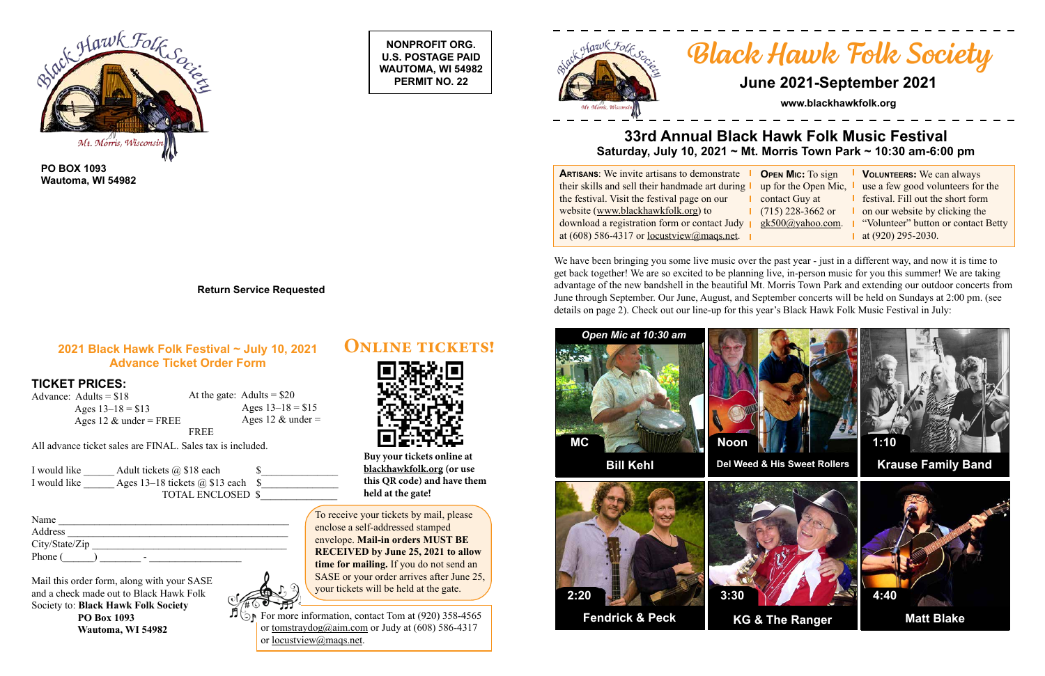**NONPROFIT ORG. U.S. POSTAGE PAID WAUTOMA, WI 54982 PERMIT NO. 22**





**PO BOX 1093 Wautoma, WI 54982**

> $\vec{D}$   $\odot$ For more information, contact Tom at (920) 358-4565 or tomstraydog@aim.com or Judy at  $(608)$  586-4317 or locustview@maqs.net.

**Return Service Requested**

# *Black Hawk Folk Society*

**Volunteers:** We can always se a few good volunteers for the estival. Fill out the short form on our website by clicking the Volunteer" button or contact Betty at  $(920)$  295-2030.



## **June 2021-September 2021**

**www.blackhawkfolk.org**

## **33rd Annual Black Hawk Folk Music Festival Saturday, July 10, 2021 ~ Mt. Morris Town Park ~ 10:30 am-6:00 pm**

**ARTISANS:** We invite artisans to demonstrate **c** their skills and sell their handmade art during the festival. Visit the festival page on our website (www.blackhawkfolk.org) to download a registration form or contact Judy  $\parallel$  gl at (608) 586-4317 or locustyiew@maqs.net.

| <b>OPEN MIC:</b> To sign | V              |
|--------------------------|----------------|
| up for the Open Mic,     | us             |
| contact Guy at           | fe             |
| $(715)$ 228-3662 or      | O <sub>1</sub> |
| <u>gk500@yahoo.com</u> . | $\epsilon$     |
|                          |                |

Advance: Adults = \$18 Ages  $13-18 = $13$ Ages 12  $\&$  under = FREE

| Name           |
|----------------|
| Address        |
| City/State/Zip |
| Phone (<br>-   |

At the gate: Adults  $= $20$ Ages  $13-18 = $15$ Ages 12  $&$  under = FREE

#### **2021 Black Hawk Folk Festival ~ July 10, 2021 Advance Ticket Order Form**

#### **TICKET PRICES:**

All advance ticket sales are FINAL. Sales tax is included.

| I would like | Adult tickets $\omega$ \$18 each   |  |
|--------------|------------------------------------|--|
| I would like | Ages 13–18 tickets $(a)$ \$13 each |  |
|              | <b>TOTAL ENCLOSED \$</b>           |  |

We have been bringing you some live music over the past year - just in a different way, and now it is time to get back together! We are so excited to be planning live, in-person music for you this summer! We are taking advantage of the new bandshell in the beautiful Mt. Morris Town Park and extending our outdoor concerts from June through September. Our June, August, and September concerts will be held on Sundays at 2:00 pm. (see details on page 2). Check out our line-up for this year's Black Hawk Folk Music Festival in July:

Mail this order form, along with your SASE and a check made out to Black Hawk Folk Society to: **Black Hawk Folk Society PO Box 1093 Wautoma, WI 54982**



To receive your tickets by mail, please enclose a self-addressed stamped envelope. **Mail-in orders MUST BE RECEIVED by June 25, 2021 to allow time for mailing.** If you do not send an SASE or your order arrives after June 25, your tickets will be held at the gate.



**Buy your tickets online at blackhawkfolk.org (or use this QR code) and have them held at the gate!**

**Online tickets!**